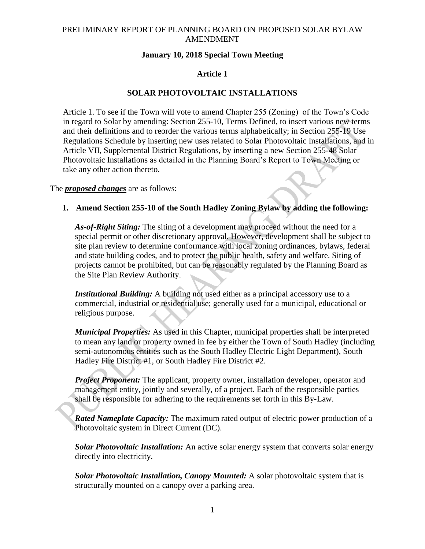## **January 10, 2018 Special Town Meeting**

## **Article 1**

# **SOLAR PHOTOVOLTAIC INSTALLATIONS**

Article 1. To see if the Town will vote to amend Chapter 255 (Zoning) of the Town's Code in regard to Solar by amending: Section 255-10, Terms Defined, to insert various new terms and their definitions and to reorder the various terms alphabetically; in Section 255-19 Use Regulations Schedule by inserting new uses related to Solar Photovoltaic Installations, and in Article VII, Supplemental District Regulations, by inserting a new Section 255-48 Solar Photovoltaic Installations as detailed in the Planning Board's Report to Town Meeting or take any other action thereto.

The *proposed changes* are as follows:

### **1. Amend Section 255-10 of the South Hadley Zoning Bylaw by adding the following:**

*As-of-Right Siting:* The siting of a development may proceed without the need for a special permit or other discretionary approval. However, development shall be subject to site plan review to determine conformance with local zoning ordinances, bylaws, federal and state building codes, and to protect the public health, safety and welfare. Siting of projects cannot be prohibited, but can be reasonably regulated by the Planning Board as the Site Plan Review Authority.

*Institutional Building:* A building not used either as a principal accessory use to a commercial, industrial or residential use; generally used for a municipal, educational or religious purpose.

*Municipal Properties:* As used in this Chapter, municipal properties shall be interpreted to mean any land or property owned in fee by either the Town of South Hadley (including semi-autonomous entities such as the South Hadley Electric Light Department), South Hadley Fire District #1, or South Hadley Fire District #2.

*Project Proponent:* The applicant, property owner, installation developer, operator and management entity, jointly and severally, of a project. Each of the responsible parties shall be responsible for adhering to the requirements set forth in this By-Law.

*Rated Nameplate Capacity:* The maximum rated output of electric power production of a Photovoltaic system in Direct Current (DC).

*Solar Photovoltaic Installation:* An active solar energy system that converts solar energy directly into electricity.

*Solar Photovoltaic Installation, Canopy Mounted:* A solar photovoltaic system that is structurally mounted on a canopy over a parking area.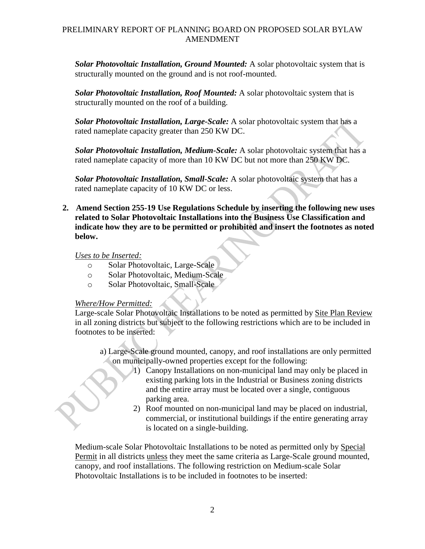*Solar Photovoltaic Installation, Ground Mounted:* A solar photovoltaic system that is structurally mounted on the ground and is not roof-mounted.

*Solar Photovoltaic Installation, Roof Mounted:* A solar photovoltaic system that is structurally mounted on the roof of a building.

*Solar Photovoltaic Installation, Large-Scale:* A solar photovoltaic system that has a rated nameplate capacity greater than 250 KW DC.

*Solar Photovoltaic Installation, Medium-Scale:* A solar photovoltaic system that has a rated nameplate capacity of more than 10 KW DC but not more than 250 KW DC.

*Solar Photovoltaic Installation, Small-Scale:* A solar photovoltaic system that has a rated nameplate capacity of 10 KW DC or less.

**2. Amend Section 255-19 Use Regulations Schedule by inserting the following new uses related to Solar Photovoltaic Installations into the Business Use Classification and indicate how they are to be permitted or prohibited and insert the footnotes as noted below.**

*Uses to be Inserted:*

- o Solar Photovoltaic, Large-Scale
- o Solar Photovoltaic, Medium-Scale
- o Solar Photovoltaic, Small-Scale

### *Where/How Permitted:*

Large-scale Solar Photovoltaic Installations to be noted as permitted by Site Plan Review in all zoning districts but subject to the following restrictions which are to be included in footnotes to be inserted:

- a) Large-Scale ground mounted, canopy, and roof installations are only permitted on municipally-owned properties except for the following:
	- 1) Canopy Installations on non-municipal land may only be placed in existing parking lots in the Industrial or Business zoning districts and the entire array must be located over a single, contiguous parking area.
	- 2) Roof mounted on non-municipal land may be placed on industrial, commercial, or institutional buildings if the entire generating array is located on a single-building.

Medium-scale Solar Photovoltaic Installations to be noted as permitted only by Special Permit in all districts unless they meet the same criteria as Large-Scale ground mounted, canopy, and roof installations. The following restriction on Medium-scale Solar Photovoltaic Installations is to be included in footnotes to be inserted: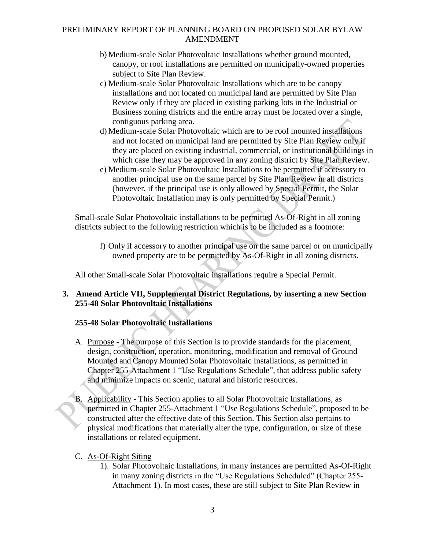- b) Medium-scale Solar Photovoltaic Installations whether ground mounted, canopy, or roof installations are permitted on municipally-owned properties subject to Site Plan Review.
- c) Medium-scale Solar Photovoltaic Installations which are to be canopy installations and not located on municipal land are permitted by Site Plan Review only if they are placed in existing parking lots in the Industrial or Business zoning districts and the entire array must be located over a single, contiguous parking area.
- d) Medium-scale Solar Photovoltaic which are to be roof mounted installations and not located on municipal land are permitted by Site Plan Review only if they are placed on existing industrial, commercial, or institutional buildings in which case they may be approved in any zoning district by Site Plan Review.
- e) Medium-scale Solar Photovoltaic Installations to be permitted if accessory to another principal use on the same parcel by Site Plan Review in all districts (however, if the principal use is only allowed by Special Permit, the Solar Photovoltaic Installation may is only permitted by Special Permit.)

Small-scale Solar Photovoltaic installations to be permitted As-Of-Right in all zoning districts subject to the following restriction which is to be included as a footnote:

f) Only if accessory to another principal use on the same parcel or on municipally owned property are to be permitted by As-Of-Right in all zoning districts.

All other Small-scale Solar Photovoltaic installations require a Special Permit.

## **3. Amend Article VII, Supplemental District Regulations, by inserting a new Section 255-48 Solar Photovoltaic Installations**

# **255-48 Solar Photovoltaic Installations**

- A. Purpose The purpose of this Section is to provide standards for the placement, design, construction, operation, monitoring, modification and removal of Ground Mounted and Canopy Mounted Solar Photovoltaic Installations, as permitted in Chapter 255-Attachment 1 "Use Regulations Schedule", that address public safety and minimize impacts on scenic, natural and historic resources.
- B. Applicability This Section applies to all Solar Photovoltaic Installations, as permitted in Chapter 255-Attachment 1 "Use Regulations Schedule", proposed to be constructed after the effective date of this Section. This Section also pertains to physical modifications that materially alter the type, configuration, or size of these installations or related equipment.

# C. As-Of-Right Siting

1). Solar Photovoltaic Installations, in many instances are permitted As-Of-Right in many zoning districts in the "Use Regulations Scheduled" (Chapter 255- Attachment 1). In most cases, these are still subject to Site Plan Review in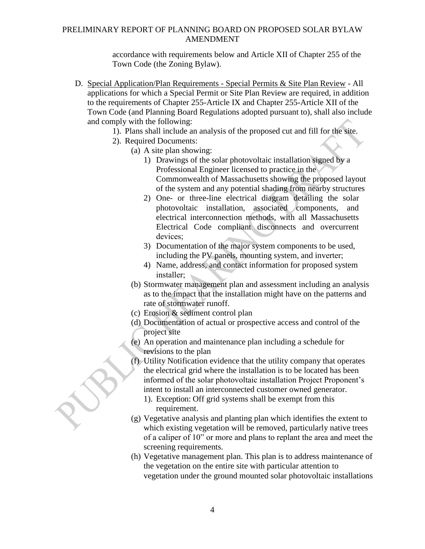accordance with requirements below and Article XII of Chapter 255 of the Town Code (the Zoning Bylaw).

- D. Special Application/Plan Requirements Special Permits & Site Plan Review All applications for which a Special Permit or Site Plan Review are required, in addition to the requirements of Chapter 255-Article IX and Chapter 255-Article XII of the Town Code (and Planning Board Regulations adopted pursuant to), shall also include and comply with the following:
	- 1). Plans shall include an analysis of the proposed cut and fill for the site.
	- 2). Required Documents:
		- (a) A site plan showing:
			- 1) Drawings of the solar photovoltaic installation signed by a Professional Engineer licensed to practice in the Commonwealth of Massachusetts showing the proposed layout of the system and any potential shading from nearby structures
			- 2) One- or three-line electrical diagram detailing the solar photovoltaic installation, associated components, and electrical interconnection methods, with all Massachusetts Electrical Code compliant disconnects and overcurrent devices;
			- 3) Documentation of the major system components to be used, including the PV panels, mounting system, and inverter;
			- 4) Name, address, and contact information for proposed system installer;
		- (b) Stormwater management plan and assessment including an analysis as to the impact that the installation might have on the patterns and rate of stormwater runoff.
		- (c) Erosion & sediment control plan
		- (d) Documentation of actual or prospective access and control of the project site
		- (e) An operation and maintenance plan including a schedule for revisions to the plan
		- (f) Utility Notification evidence that the utility company that operates the electrical grid where the installation is to be located has been informed of the solar photovoltaic installation Project Proponent's intent to install an interconnected customer owned generator.
			- 1). Exception: Off grid systems shall be exempt from this requirement.
		- (g) Vegetative analysis and planting plan which identifies the extent to which existing vegetation will be removed, particularly native trees of a caliper of 10" or more and plans to replant the area and meet the screening requirements.
		- (h) Vegetative management plan. This plan is to address maintenance of the vegetation on the entire site with particular attention to vegetation under the ground mounted solar photovoltaic installations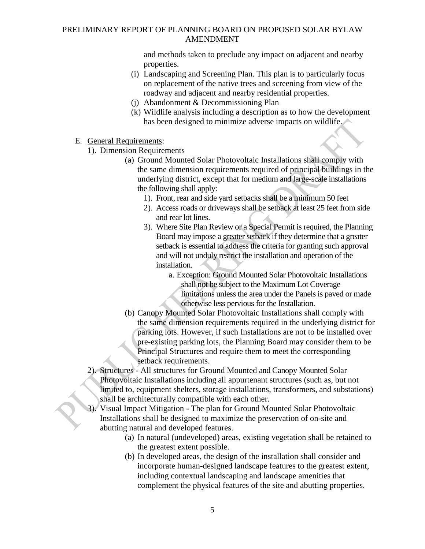and methods taken to preclude any impact on adjacent and nearby properties.

- (i) Landscaping and Screening Plan. This plan is to particularly focus on replacement of the native trees and screening from view of the roadway and adjacent and nearby residential properties.
- (j) Abandonment & Decommissioning Plan
- (k) Wildlife analysis including a description as to how the development has been designed to minimize adverse impacts on wildlife.
- E. General Requirements:
	- 1). Dimension Requirements
		- (a) Ground Mounted Solar Photovoltaic Installations shall comply with the same dimension requirements required of principal buildings in the underlying district, except that for medium and large-scale installations the following shall apply:
			- 1). Front, rear and side yard setbacks shall be a minimum 50 feet
			- 2). Access roads or driveways shall be setback at least 25 feet from side and rear lot lines.
			- 3). Where Site Plan Review or a Special Permit is required, the Planning Board may impose a greater setback if they determine that a greater setback is essential to address the criteria for granting such approval and will not unduly restrict the installation and operation of the installation.
				- a. Exception: Ground Mounted Solar Photovoltaic Installations shall not be subject to the Maximum Lot Coverage limitations unless the area under the Panels is paved or made otherwise less pervious for the Installation.
		- (b) Canopy Mounted Solar Photovoltaic Installations shall comply with the same dimension requirements required in the underlying district for parking lots. However, if such Installations are not to be installed over pre-existing parking lots, the Planning Board may consider them to be Principal Structures and require them to meet the corresponding setback requirements.
	- 2). Structures All structures for Ground Mounted and Canopy Mounted Solar Photovoltaic Installations including all appurtenant structures (such as, but not limited to, equipment shelters, storage installations, transformers, and substations) shall be architecturally compatible with each other.
	- 3). Visual Impact Mitigation The plan for Ground Mounted Solar Photovoltaic Installations shall be designed to maximize the preservation of on-site and abutting natural and developed features.
		- (a) In natural (undeveloped) areas, existing vegetation shall be retained to the greatest extent possible.
		- (b) In developed areas, the design of the installation shall consider and incorporate human-designed landscape features to the greatest extent, including contextual landscaping and landscape amenities that complement the physical features of the site and abutting properties.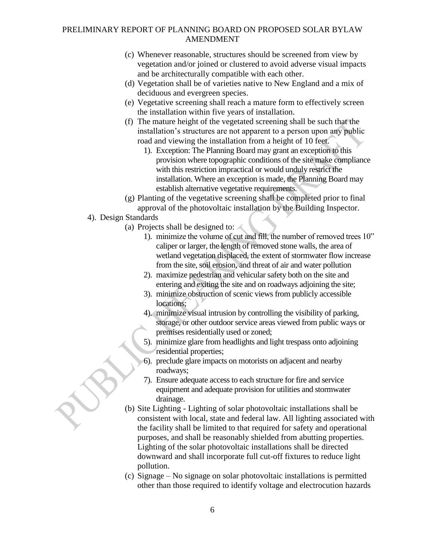- (c) Whenever reasonable, structures should be screened from view by vegetation and/or joined or clustered to avoid adverse visual impacts and be architecturally compatible with each other.
- (d) Vegetation shall be of varieties native to New England and a mix of deciduous and evergreen species.
- (e) Vegetative screening shall reach a mature form to effectively screen the installation within five years of installation.
- (f) The mature height of the vegetated screening shall be such that the installation's structures are not apparent to a person upon any public road and viewing the installation from a height of 10 feet.
	- 1). Exception: The Planning Board may grant an exception to this provision where topographic conditions of the site make compliance with this restriction impractical or would unduly restrict the installation. Where an exception is made, the Planning Board may establish alternative vegetative requirements.
- (g) Planting of the vegetative screening shall be completed prior to final approval of the photovoltaic installation by the Building Inspector.
- 4). Design Standards
	- (a) Projects shall be designed to:
		- 1). minimize the volume of cut and fill, the number of removed trees 10" caliper or larger, the length of removed stone walls, the area of wetland vegetation displaced, the extent of stormwater flow increase from the site, soil erosion, and threat of air and water pollution
		- 2). maximize pedestrian and vehicular safety both on the site and entering and exiting the site and on roadways adjoining the site;
		- 3). minimize obstruction of scenic views from publicly accessible locations;
		- 4). minimize visual intrusion by controlling the visibility of parking, storage, or other outdoor service areas viewed from public ways or premises residentially used or zoned;
		- 5). minimize glare from headlights and light trespass onto adjoining residential properties;
		- 6). preclude glare impacts on motorists on adjacent and nearby roadways;
		- 7). Ensure adequate access to each structure for fire and service equipment and adequate provision for utilities and stormwater drainage.
	- (b) Site Lighting Lighting of solar photovoltaic installations shall be consistent with local, state and federal law. All lighting associated with the facility shall be limited to that required for safety and operational purposes, and shall be reasonably shielded from abutting properties. Lighting of the solar photovoltaic installations shall be directed downward and shall incorporate full cut-off fixtures to reduce light pollution.
	- (c) Signage No signage on solar photovoltaic installations is permitted other than those required to identify voltage and electrocution hazards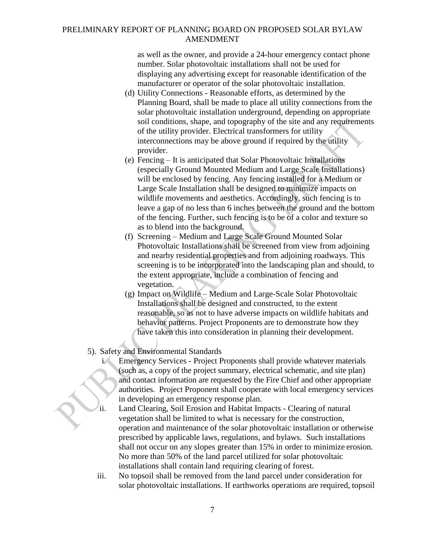as well as the owner, and provide a 24-hour emergency contact phone number. Solar photovoltaic installations shall not be used for displaying any advertising except for reasonable identification of the manufacturer or operator of the solar photovoltaic installation.

- (d) Utility Connections Reasonable efforts, as determined by the Planning Board, shall be made to place all utility connections from the solar photovoltaic installation underground, depending on appropriate soil conditions, shape, and topography of the site and any requirements of the utility provider. Electrical transformers for utility interconnections may be above ground if required by the utility provider.
- (e) Fencing It is anticipated that Solar Photovoltaic Installations (especially Ground Mounted Medium and Large Scale Installations) will be enclosed by fencing. Any fencing installed for a Medium or Large Scale Installation shall be designed to minimize impacts on wildlife movements and aesthetics. Accordingly, such fencing is to leave a gap of no less than 6 inches between the ground and the bottom of the fencing. Further, such fencing is to be of a color and texture so as to blend into the background.
- (f) Screening Medium and Large Scale Ground Mounted Solar Photovoltaic Installations shall be screened from view from adjoining and nearby residential properties and from adjoining roadways. This screening is to be incorporated into the landscaping plan and should, to the extent appropriate, include a combination of fencing and vegetation.
- (g) Impact on Wildlife Medium and Large-Scale Solar Photovoltaic Installations shall be designed and constructed, to the extent reasonable, so as not to have adverse impacts on wildlife habitats and behavior patterns. Project Proponents are to demonstrate how they have taken this into consideration in planning their development.

### 5). Safety and Environmental Standards

- i. Emergency Services Project Proponents shall provide whatever materials (such as, a copy of the project summary, electrical schematic, and site plan) and contact information are requested by the Fire Chief and other appropriate authorities. Project Proponent shall cooperate with local emergency services in developing an emergency response plan.
- ii. Land Clearing, Soil Erosion and Habitat Impacts Clearing of natural vegetation shall be limited to what is necessary for the construction, operation and maintenance of the solar photovoltaic installation or otherwise prescribed by applicable laws, regulations, and bylaws. Such installations shall not occur on any slopes greater than 15% in order to minimize erosion. No more than 50% of the land parcel utilized for solar photovoltaic installations shall contain land requiring clearing of forest.
- iii. No topsoil shall be removed from the land parcel under consideration for solar photovoltaic installations. If earthworks operations are required, topsoil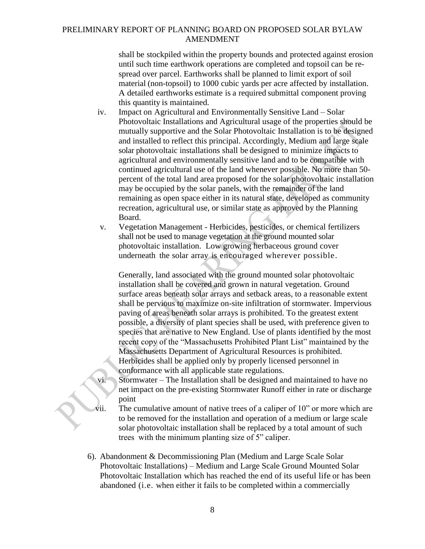shall be stockpiled within the property bounds and protected against erosion until such time earthwork operations are completed and topsoil can be respread over parcel. Earthworks shall be planned to limit export of soil material (non-topsoil) to 1000 cubic yards per acre affected by installation. A detailed earthworks estimate is a required submittal component proving this quantity is maintained.

- iv. Impact on Agricultural and Environmentally Sensitive Land Solar Photovoltaic Installations and Agricultural usage of the properties should be mutually supportive and the Solar Photovoltaic Installation is to be designed and installed to reflect this principal. Accordingly, Medium and large scale solar photovoltaic installations shall be designed to minimize impacts to agricultural and environmentally sensitive land and to be compatible with continued agricultural use of the land whenever possible. No more than 50 percent of the total land area proposed for the solar photovoltaic installation may be occupied by the solar panels, with the remainder of the land remaining as open space either in its natural state, developed as community recreation, agricultural use, or similar state as approved by the Planning Board.
- v. Vegetation Management Herbicides, pesticides, or chemical fertilizers shall not be used to manage vegetation at the ground mounted solar photovoltaic installation. Low growing herbaceous ground cover underneath the solar array is encouraged wherever possible.

Generally, land associated with the ground mounted solar photovoltaic installation shall be covered and grown in natural vegetation. Ground surface areas beneath solar arrays and setback areas, to a reasonable extent shall be pervious to maximize on-site infiltration of stormwater. Impervious paving of areas beneath solar arrays is prohibited. To the greatest extent possible, a diversity of plant species shall be used, with preference given to species that are native to New England. Use of plants identified by the most recent copy of the "Massachusetts Prohibited Plant List" maintained by the Massachusetts Department of Agricultural Resources is prohibited. Herbicides shall be applied only by properly licensed personnel in conformance with all applicable state regulations.

vi. Stormwater – The Installation shall be designed and maintained to have no net impact on the pre-existing Stormwater Runoff either in rate or discharge point

- vii. The cumulative amount of native trees of a caliper of 10" or more which are to be removed for the installation and operation of a medium or large scale solar photovoltaic installation shall be replaced by a total amount of such trees with the minimum planting size of 5" caliper.
- 6). Abandonment & Decommissioning Plan (Medium and Large Scale Solar Photovoltaic Installations) – Medium and Large Scale Ground Mounted Solar Photovoltaic Installation which has reached the end of its useful life or has been abandoned (i.e. when either it fails to be completed within a commercially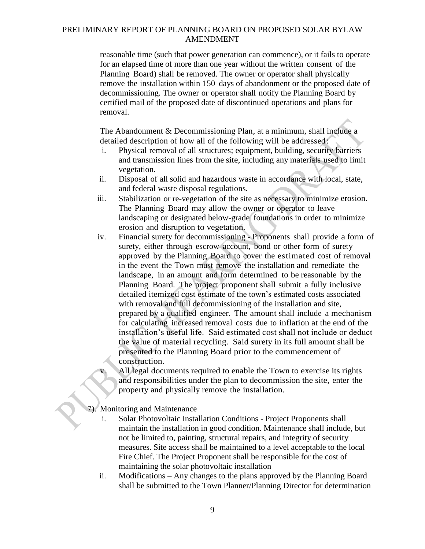reasonable time (such that power generation can commence), or it fails to operate for an elapsed time of more than one year without the written consent of the Planning Board) shall be removed. The owner or operator shall physically remove the installation within 150 days of abandonment or the proposed date of decommissioning. The owner or operator shall notify the Planning Board by certified mail of the proposed date of discontinued operations and plans for removal.

The Abandonment & Decommissioning Plan, at a minimum, shall include a detailed description of how all of the following will be addressed:

- i. Physical removal of all structures; equipment, building, security barriers and transmission lines from the site, including any materials used to limit vegetation.
- ii. Disposal of all solid and hazardous waste in accordance with local, state, and federal waste disposal regulations.
- iii. Stabilization or re-vegetation of the site as necessary to minimize erosion. The Planning Board may allow the owner or operator to leave landscaping or designated below-grade foundations in order to minimize erosion and disruption to vegetation.
- iv. Financial surety for decommissioning Proponents shall provide a form of surety, either through escrow account, bond or other form of surety approved by the Planning Board to cover the estimated cost of removal in the event the Town must remove the installation and remediate the landscape, in an amount and form determined to be reasonable by the Planning Board. The project proponent shall submit a fully inclusive detailed itemized cost estimate of the town's estimated costs associated with removal and full decommissioning of the installation and site, prepared by a qualified engineer. The amount shall include a mechanism for calculating increased removal costs due to inflation at the end of the installation's useful life. Said estimated cost shall not include or deduct the value of material recycling. Said surety in its full amount shall be presented to the Planning Board prior to the commencement of construction.
	- All legal documents required to enable the Town to exercise its rights and responsibilities under the plan to decommission the site, enter the property and physically remove the installation.
- 7). Monitoring and Maintenance
	- i. Solar Photovoltaic Installation Conditions Project Proponents shall maintain the installation in good condition. Maintenance shall include, but not be limited to, painting, structural repairs, and integrity of security measures. Site access shall be maintained to a level acceptable to the local Fire Chief. The Project Proponent shall be responsible for the cost of maintaining the solar photovoltaic installation
	- ii. Modifications Any changes to the plans approved by the Planning Board shall be submitted to the Town Planner/Planning Director for determination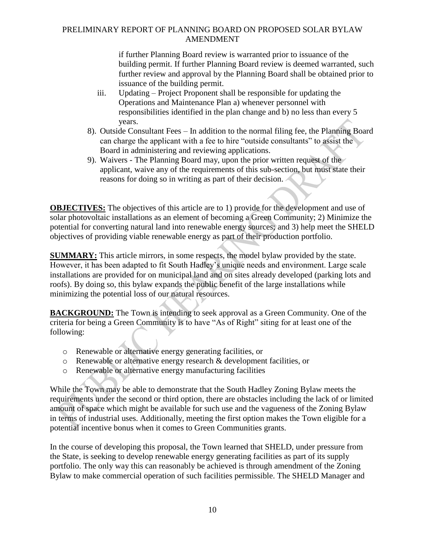if further Planning Board review is warranted prior to issuance of the building permit. If further Planning Board review is deemed warranted, such further review and approval by the Planning Board shall be obtained prior to issuance of the building permit.

- iii. Updating Project Proponent shall be responsible for updating the Operations and Maintenance Plan a) whenever personnel with responsibilities identified in the plan change and b) no less than every 5 years.
- 8). Outside Consultant Fees In addition to the normal filing fee, the Planning Board can charge the applicant with a fee to hire "outside consultants" to assist the Board in administering and reviewing applications.
- 9). Waivers The Planning Board may, upon the prior written request of the applicant, waive any of the requirements of this sub-section, but must state their reasons for doing so in writing as part of their decision.

**OBJECTIVES:** The objectives of this article are to 1) provide for the development and use of solar photovoltaic installations as an element of becoming a Green Community; 2) Minimize the potential for converting natural land into renewable energy sources; and 3) help meet the SHELD objectives of providing viable renewable energy as part of their production portfolio.

**SUMMARY:** This article mirrors, in some respects, the model bylaw provided by the state. However, it has been adapted to fit South Hadley's unique needs and environment. Large scale installations are provided for on municipal land and on sites already developed (parking lots and roofs). By doing so, this bylaw expands the public benefit of the large installations while minimizing the potential loss of our natural resources.

**BACKGROUND:** The Town is intending to seek approval as a Green Community. One of the criteria for being a Green Community is to have "As of Right" siting for at least one of the following:

- o Renewable or alternative energy generating facilities, or
- o Renewable or alternative energy research & development facilities, or
- o Renewable or alternative energy manufacturing facilities

While the Town may be able to demonstrate that the South Hadley Zoning Bylaw meets the requirements under the second or third option, there are obstacles including the lack of or limited amount of space which might be available for such use and the vagueness of the Zoning Bylaw in terms of industrial uses. Additionally, meeting the first option makes the Town eligible for a potential incentive bonus when it comes to Green Communities grants.

In the course of developing this proposal, the Town learned that SHELD, under pressure from the State, is seeking to develop renewable energy generating facilities as part of its supply portfolio. The only way this can reasonably be achieved is through amendment of the Zoning Bylaw to make commercial operation of such facilities permissible. The SHELD Manager and